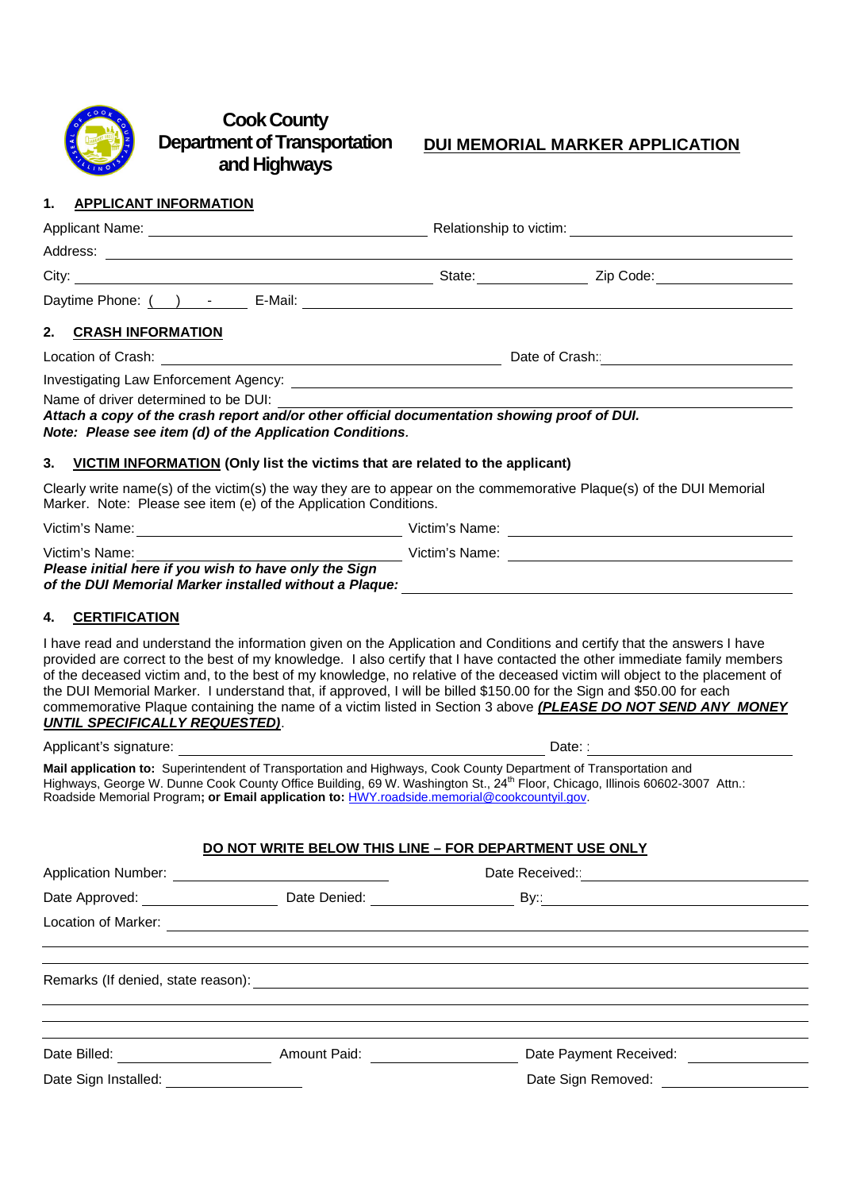

# **CookCounty Department of Transportation andHighways**

# **DUI MEMORIAL MARKER APPLICATION**

#### **1. APPLICANT INFORMATION**

|                                                                                                                                                                                                                                            | Relationship to victim:<br><u> and</u> the setting of the setting of the setting of the setting of the setting of the setting of the setting of the setting of the setting of the setting of the setting of the setting of the settin |           |  |
|--------------------------------------------------------------------------------------------------------------------------------------------------------------------------------------------------------------------------------------------|---------------------------------------------------------------------------------------------------------------------------------------------------------------------------------------------------------------------------------------|-----------|--|
|                                                                                                                                                                                                                                            |                                                                                                                                                                                                                                       |           |  |
|                                                                                                                                                                                                                                            | State: ______________                                                                                                                                                                                                                 | Zip Code: |  |
|                                                                                                                                                                                                                                            |                                                                                                                                                                                                                                       |           |  |
| 2. CRASH INFORMATION                                                                                                                                                                                                                       |                                                                                                                                                                                                                                       |           |  |
|                                                                                                                                                                                                                                            | Date of Crash: <b>Date of Crash:</b>                                                                                                                                                                                                  |           |  |
|                                                                                                                                                                                                                                            |                                                                                                                                                                                                                                       |           |  |
| Name of driver determined to be DUI:                                                                                                                                                                                                       |                                                                                                                                                                                                                                       |           |  |
| Attach a copy of the crash report and/or other official documentation showing proof of DUI.<br>Note: Please see item (d) of the Application Conditions.<br>3. VICTIM INFORMATION (Only list the victims that are related to the applicant) |                                                                                                                                                                                                                                       |           |  |
| Clearly write name(s) of the victim(s) the way they are to appear on the commemorative Plaque(s) of the DUI Memorial                                                                                                                       |                                                                                                                                                                                                                                       |           |  |
| Marker. Note: Please see item (e) of the Application Conditions.                                                                                                                                                                           |                                                                                                                                                                                                                                       |           |  |
| Victim's Name:                                                                                                                                                                                                                             |                                                                                                                                                                                                                                       |           |  |
| <u> 1980 - Andrea Station Barbara, politik eta provincia eta provincia eta provincia eta provincia eta provincia</u><br>Victim's Name:                                                                                                     |                                                                                                                                                                                                                                       |           |  |
| Please initial here if you wish to have only the Sign<br>of the DUI Memorial Marker installed without a Plaque:                                                                                                                            |                                                                                                                                                                                                                                       |           |  |

#### **4. CERTIFICATION**

I have read and understand the information given on the Application and Conditions and certify that the answers I have provided are correct to the best of my knowledge. I also certify that I have contacted the other immediate family members of the deceased victim and, to the best of my knowledge, no relative of the deceased victim will object to the placement of the DUI Memorial Marker. I understand that, if approved, I will be billed \$150.00 for the Sign and \$50.00 for each commemorative Plaque containing the name of a victim listed in Section 3 above *(PLEASE DO NOT SEND ANY MONEY UNTIL SPECIFICALLY REQUESTED)*.

Applicant's signature: Date: : **Mail application to:** Superintendent of Transportation and Highways, Cook County Department of Transportation and Highways, George W. Dunne Cook County Office Building, 69 W. Washington St., 24<sup>th</sup> Floor, Chicago, Illinois 60602-3007 Attn.: Roadside Memorial Program**; or Email application to:** HWY.roadside.memorial@cookcountyil.gov.

#### **DO NOT WRITE BELOW THIS LINE – FOR DEPARTMENT USE ONLY**

| <b>Application Number:</b>                                                                                                                                                                                                     |                                 | Date Received:         |  |
|--------------------------------------------------------------------------------------------------------------------------------------------------------------------------------------------------------------------------------|---------------------------------|------------------------|--|
| Date Approved: Note that the state of the state of the state of the state of the state of the state of the state of the state of the state of the state of the state of the state of the state of the state of the state of th | Date Denied: <u>___________</u> | By: and the By:        |  |
|                                                                                                                                                                                                                                |                                 |                        |  |
|                                                                                                                                                                                                                                |                                 |                        |  |
|                                                                                                                                                                                                                                |                                 |                        |  |
|                                                                                                                                                                                                                                |                                 |                        |  |
| Date Billed: <u>_______</u>                                                                                                                                                                                                    | <b>Amount Paid:</b>             | Date Payment Received: |  |
| Date Sign Installed:                                                                                                                                                                                                           |                                 | Date Sign Removed:     |  |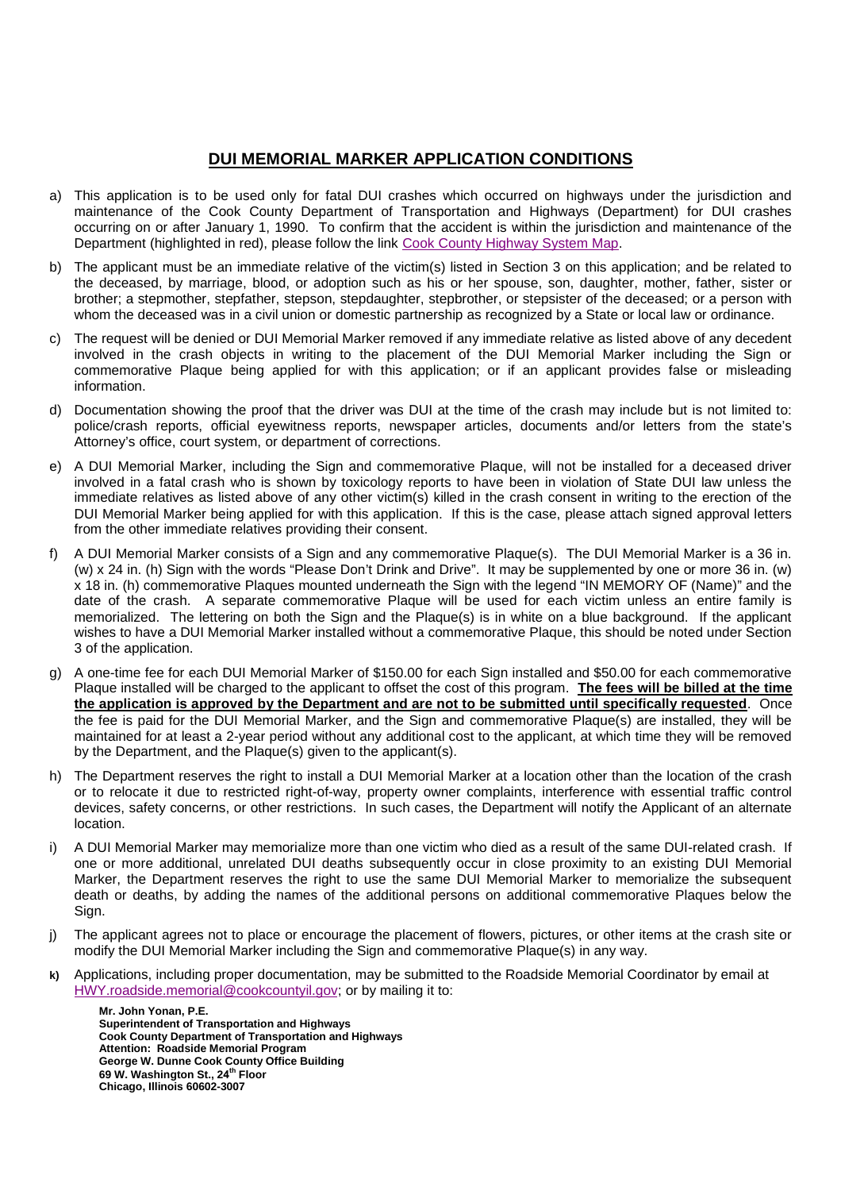## **DUI MEMORIAL MARKER APPLICATION CONDITIONS**

- a) This application is to be used only for fatal DUI crashes which occurred on highways under the jurisdiction and maintenance of the Cook County Department of Transportation and Highways (Department) for DUI crashes occurring on or after January 1, 1990. To confirm that the accident is within the jurisdiction and maintenance of the Department (highlighted in red), please follow the link [Cook County Highway System Map.](www.cookcountygov.com/taxonomy2/Highway%20Department/Downloads/cchd_system_map%2010-26-11.pdf)
- b) The applicant must be an immediate relative of the victim(s) listed in Section 3 on this application; and be related to the deceased, by marriage, blood, or adoption such as his or her spouse, son, daughter, mother, father, sister or brother; a stepmother, stepfather, stepson, stepdaughter, stepbrother, or stepsister of the deceased; or a person with whom the deceased was in a civil union or domestic partnership as recognized by a State or local law or ordinance.
- c) The request will be denied or DUI Memorial Marker removed if any immediate relative as listed above of any decedent involved in the crash objects in writing to the placement of the DUI Memorial Marker including the Sign or commemorative Plaque being applied for with this application; or if an applicant provides false or misleading information.
- d) Documentation showing the proof that the driver was DUI at the time of the crash may include but is not limited to: police/crash reports, official eyewitness reports, newspaper articles, documents and/or letters from the state's Attorney's office, court system, or department of corrections.
- e) A DUI Memorial Marker, including the Sign and commemorative Plaque, will not be installed for a deceased driver involved in a fatal crash who is shown by toxicology reports to have been in violation of State DUI law unless the immediate relatives as listed above of any other victim(s) killed in the crash consent in writing to the erection of the DUI Memorial Marker being applied for with this application. If this is the case, please attach signed approval letters from the other immediate relatives providing their consent.
- f) A DUI Memorial Marker consists of a Sign and any commemorative Plaque(s). The DUI Memorial Marker is a 36 in. (w) x 24 in. (h) Sign with the words "Please Don't Drink and Drive". It may be supplemented by one or more 36 in. (w) x 18 in. (h) commemorative Plaques mounted underneath the Sign with the legend "IN MEMORY OF (Name)" and the date of the crash. A separate commemorative Plaque will be used for each victim unless an entire family is memorialized. The lettering on both the Sign and the Plaque(s) is in white on a blue background. If the applicant wishes to have a DUI Memorial Marker installed without a commemorative Plaque, this should be noted under Section 3 of the application.
- g) A one-time fee for each DUI Memorial Marker of \$150.00 for each Sign installed and \$50.00 for each commemorative Plaque installed will be charged to the applicant to offset the cost of this program. **The fees will be billed at the time the application is approved by the Department and are not to be submitted until specifically requested**. Once the fee is paid for the DUI Memorial Marker, and the Sign and commemorative Plaque(s) are installed, they will be maintained for at least a 2-year period without any additional cost to the applicant, at which time they will be removed by the Department, and the Plaque(s) given to the applicant(s).
- h) The Department reserves the right to install a DUI Memorial Marker at a location other than the location of the crash or to relocate it due to restricted right-of-way, property owner complaints, interference with essential traffic control devices, safety concerns, or other restrictions. In such cases, the Department will notify the Applicant of an alternate location.
- i) A DUI Memorial Marker may memorialize more than one victim who died as a result of the same DUI-related crash. If one or more additional, unrelated DUI deaths subsequently occur in close proximity to an existing DUI Memorial Marker, the Department reserves the right to use the same DUI Memorial Marker to memorialize the subsequent death or deaths, by adding the names of the additional persons on additional commemorative Plaques below the Sign.
- j) The applicant agrees not to place or encourage the placement of flowers, pictures, or other items at the crash site or modify the DUI Memorial Marker including the Sign and commemorative Plaque(s) in any way.
- **k)** Applications, including proper documentation, may be submitted to the Roadside Memorial Coordinator by email at HWY.roadside.memorial@cookcountyil.gov; or by mailing it to:

**Mr. John Yonan, P.E. Superintendent of Transportation and Highways Cook County Department of Transportation and Highways Attention: Roadside Memorial Program George W. Dunne Cook County Office Building 69 W. Washington St., 24 th Floor Chicago, Illinois 60602-3007**